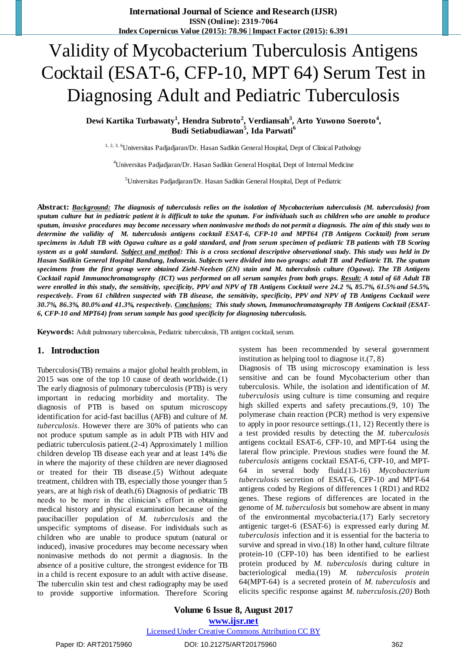# Validity of Mycobacterium Tuberculosis Antigens Cocktail (ESAT-6, CFP-10, MPT 64) Serum Test in Diagnosing Adult and Pediatric Tuberculosis

Dewi Kartika Turbawaty<sup>1</sup>, Hendra Subroto<sup>2</sup>, Verdiansah<sup>3</sup>, Arto Yuwono Soeroto<sup>4</sup>, **Budi Setiabudiawan<sup>5</sup> , Ida Parwati<sup>6</sup>**

<sup>1, 2, 3, 6</sup>Universitas Padjadjaran/Dr. Hasan Sadikin General Hospital, Dept of Clinical Pathology

<sup>4</sup>Universitas Padjadjaran/Dr. Hasan Sadikin General Hospital, Dept of Internal Medicine

<sup>5</sup>Universitas Padjadjaran/Dr. Hasan Sadikin General Hospital, Dept of Pediatric

**Abstract:** *Background: The diagnosis of tuberculosis relies on the isolation of Mycobacterium tuberculosis (M. tuberculosis) from sputum culture but in pediatric patient it is difficult to take the sputum. For individuals such as children who are unable to produce sputum, invasive procedures may become necessary when noninvasive methods do not permit a diagnosis. The aim of this study was to determine the validity of M. tuberculosis antigens cocktail ESAT-6, CFP-10 and MPT64 (TB Antigens Cocktail) from serum specimens in Adult TB with Ogawa culture as a gold standard, and from serum specimen of pediatric TB patients with TB Scoring system as a gold standard. Subject and method: This is a cross sectional descriptive observational study. This study was held in Dr Hasan Sadikin General Hospital Bandung, Indonesia. Subjects were divided into two groups: adult TB and Pediatric TB. The sputum specimens from the first group were obtained Ziehl-Neelsen (ZN) stain and M. tuberculosis culture (Ogawa). The TB Antigens Cocktail rapid Immunochromatography (ICT) was performed on all serum samples from both grups. Result: A total of 68 Adult TB were enrolled in this study, the sensitivity, specificity, PPV and NPV of TB Antigens Cocktail were 24.2 %, 85.7%, 61.5% and 54.5%, respectively. From 61 children suspected with TB disease, the sensitivity, specificity, PPV and NPV of TB Antigens Cocktail were 30.7%, 86.3%, 80.0% and 41.3%, respectively. Conclusions: This study shown, Immunochromatography TB Antigens Cocktail (ESAT-6, CFP-10 and MPT64) from serum sample has good specificity for diagnosing tuberculosis.*

**Keywords:** Adult pulmonary tuberculosis, Pediatric tuberculosis, TB antigen cocktail, serum.

#### **1. Introduction**

Tuberculosis(TB) remains a major global health problem, in 2015 was one of the top 10 cause of death worldwide.[\(1\)](#page-3-0) The early diagnosis of pulmonary tuberculosis (PTB) is very important in reducing morbidity and mortality. The diagnosis of PTB is based on sputum microscopy identification for acid-fast bacillus (AFB) and culture of *M. tuberculosis*. However there are 30% of patients who can not produce sputum sample as in adult PTB with HIV and pediatric tuberculosis patient.[\(2-4\)](#page-3-1) Approximately 1 million children develop TB disease each year and at least 14% die in where the majority of these children are never diagnosed or treated for their TB disease.[\(5\)](#page-3-2) Without adequate treatment, children with TB, especially those younger than 5 years, are at high risk of death.[\(6\)](#page-3-3) Diagnosis of pediatric TB needs to be more in the clinician's effort in obtaining medical history and physical examination because of the paucibaciller population of *M. tuberculosis* and the unspecific symptoms of disease. For individuals such as children who are unable to produce sputum (natural or induced), invasive procedures may become necessary when noninvasive methods do not permit a diagnosis. In the absence of a positive culture, the strongest evidence for TB in a child is recent exposure to an adult with active disease. The tuberculin skin test and chest radiography may be used to provide supportive information. Therefore Scoring

system has been recommended by several government institution as helping tool to diagnose it.[\(7,](#page-3-4) [8\)](#page-3-5)

Diagnosis of TB using microscopy examination is less sensitive and can be found Mycobacterium other than tuberculosis. While, the isolation and identification of *M. tuberculosis* using culture is time consuming and require high skilled experts and safety precautions.[\(9,](#page-3-6) [10\)](#page-3-7) The polymerase chain reaction (PCR) method is very expensive to apply in poor resource settings.[\(11,](#page-3-8) [12\)](#page-3-9) Recently there is a test provided results by detecting the *M. tuberculosis*  antigens cocktail ESAT-6, CFP-10, and MPT-64 using the lateral flow principle. Previous studies were found the *M. tuberculosis* antigens cocktail ESAT-6, CFP-10, and MPT-64 in several body fluid.[\(13-16\)](#page-3-10) *Mycobacterium tuberculosis* secretion of ESAT-6, CFP-10 and MPT-64 antigens coded by Regions of differences 1 (RD1) and RD2 genes. These regions of differences are located in the genome of *M. tuberculosis* but somehow are absent in many of the environmental mycobacteria.[\(17\)](#page-3-11) Early secretory antigenic target-6 (ESAT-6) is expressed early during *M. tuberculosis* infection and it is essential for the bacteria to survive and spread in vivo.[\(18\)](#page-3-12) In other hand, culture filtrate protein-10 (CFP-10) has been identified to be earliest protein produced by *M. tuberculosis* during culture in bacteriological media.[\(19\)](#page-3-13) *M. tuberculosis protein* 64(MPT-64) is a secreted protein of *M. tuberculosis* and elicits specific response against *M. tuberculosis[.\(20\)](#page-3-14)* Both

Paper ID: ART20175960 DOI: 10.21275/ART20175960 362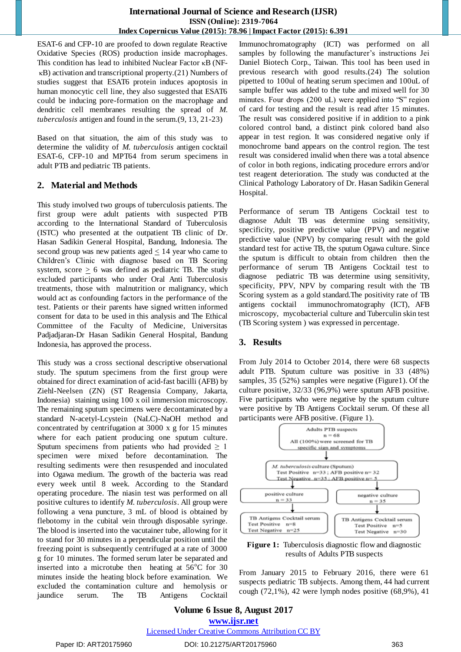ESAT-6 and CFP-10 are proofed to down regulate Reactive Oxidative Species (ROS) production inside macrophages. This condition has lead to inhibited Nuclear Factor  $\kappa$ B (NF- $\kappa$ B) activation and transcriptional property.[\(21\)](#page-3-15) Numbers of studies suggest that ESAT6 protein induces apoptosis in human monocytic cell line, they also suggested that ESAT6 could be inducing pore-formation on the macrophage and dendritic cell membranes resulting the spread of *M. tuberculosis* antigen and found in the serum.[\(9,](#page-3-6) [13,](#page-3-10) [21-23\)](#page-3-15)

Based on that situation, the aim of this study was to determine the validity of *M. tuberculosis* antigen cocktail ESAT-6, CFP-10 and MPT64 from serum specimens in adult PTB and pediatric TB patients.

### **2. Material and Methods**

This study involved two groups of tuberculosis patients. The first group were adult patients with suspected PTB according to the International Standard of Tuberculosis (ISTC) who presented at the outpatient TB clinic of Dr. Hasan Sadikin General Hospital, Bandung, Indonesia. The second group was new patients aged < 14 year who came to Children's Clinic with diagnose based on TB Scoring system, score  $> 6$  was defined as pediatric TB. The study excluded participants who under Oral Anti Tuberculosis treatments, those with malnutrition or malignancy, which would act as confounding factors in the performance of the test. Patients or their parents have signed written informed consent for data to be used in this analysis and The Ethical Committee of the Faculty of Medicine, Universitas Padjadjaran-Dr Hasan Sadikin General Hospital, Bandung Indonesia, has approved the process.

This study was a cross sectional descriptive observational study. The sputum specimens from the first group were obtained for direct examination of acid-fast bacilli (AFB) by Ziehl-Neelsen (ZN) (ST Reagensia Company, Jakarta, Indonesia) staining using 100 x oil immersion microscopy. The remaining sputum specimens were decontaminated by a standard N-acetyl-Lcystein (NaLC)-NaOH method and concentrated by centrifugation at 3000 x g for 15 minutes where for each patient producing one sputum culture. Sputum specimens from patients who had provided  $\geq 1$ specimen were mixed before decontamination. The resulting sediments were then resuspended and inoculated into Ogawa medium. The growth of the bacteria was read every week until 8 week. According to the Standard operating procedure. The niasin test was performed on all positive cultures to identify *M. tuberculosis*. All group were following a vena puncture, 3 mL of blood is obtained by flebotomy in the cubital vein through disposable syringe. The blood is inserted into the vacutainer tube, allowing for it to stand for 30 minutes in a perpendicular position until the freezing point is subsequently centrifuged at a rate of 3000 g for 10 minutes. The formed serum later be separated and inserted into a microtube then heating at  $56^{\circ}$ C for 30 minutes inside the heating block before examination. We excluded the contamination culture and hemolysis or jaundice serum. The TB Antigens Cocktail Immunochromatography (ICT) was performed on all samples by following the manufacturer's instructions Jei Daniel Biotech Corp., Taiwan. This tool has been used in previous research with good results.[\(24\)](#page-4-0) The solution pipetted to 100ul of heating serum specimen and 100uL of sample buffer was added to the tube and mixed well for 30 minutes. Four drops (200 uL) were applied into "S" region of card for testing and the result is read after 15 minutes. The result was considered positive if in addition to a pink colored control band, a distinct pink colored band also appear in test region. It was considered negative only if monochrome band appears on the control region. The test result was considered invalid when there was a total absence of color in both regions, indicating procedure errors and/or test reagent deterioration. The study was conducted at the Clinical Pathology Laboratory of Dr. Hasan Sadikin General Hospital.

Performance of serum TB Antigens Cocktail test to diagnose Adult TB was determine using sensitivity, specificity, positive predictive value (PPV) and negative predictive value (NPV) by comparing result with the gold standard test for active TB, the sputum Ogawa culture. Since the sputum is difficult to obtain from children then the performance of serum TB Antigens Cocktail test to diagnose pediatric TB was determine using sensitivity, specificity, PPV, NPV by comparing result with the TB Scoring system as a gold standard.The positivity rate of TB antigens cocktail immunochromatography (ICT), AFB microscopy, mycobacterial culture and Tuberculin skin test (TB Scoring system ) was expressed in percentage.

# **3. Results**

From July 2014 to October 2014, there were 68 suspects adult PTB. Sputum culture was positive in 33 (48%) samples, 35 (52%) samples were negative (Figure1). Of the culture positive, 32/33 (96,9%) were sputum AFB positive. Five participants who were negative by the sputum culture were positive by TB Antigens Cocktail serum. Of these all participants were AFB positive. (Figure 1).



**Figure 1:** Tuberculosis diagnostic flow and diagnostic results of Adults PTB suspects

From January 2015 to February 2016, there were 61 suspects pediatric TB subjects. Among them, 44 had current cough  $(72,1\%)$ , 42 were lymph nodes positive  $(68,9\%)$ , 41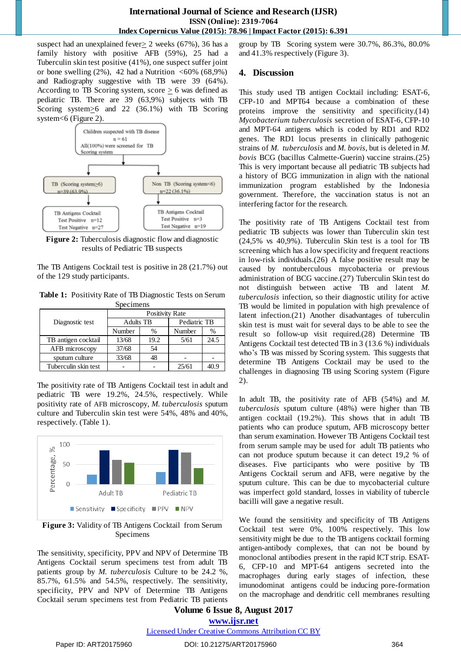#### **International Journal of Science and Research (IJSR) ISSN (Online): 2319-7064 Index Copernicus Value (2015): 78.96 | Impact Factor (2015): 6.391**

suspect had an unexplained fever  $\geq$  2 weeks (67%), 36 has a family history with positive AFB (59%), 25 had a Tuberculin skin test positive (41%), one suspect suffer joint or bone swelling  $(2\%)$ , 42 had a Nutrition <60% (68,9%) and Radiography suggestive with TB were 39 (64%). According to TB Scoring system,  $score > 6$  was defined as pediatric TB. There are 39 (63,9%) subjects with TB Scoring system>6 and 22 (36.1%) with TB Scoring system<6 (Figure 2).



**Figure 2:** Tuberculosis diagnostic flow and diagnostic results of Pediatric TB suspects

The TB Antigens Cocktail test is positive in 28 (21.7%) out of the 129 study participants.

**Table 1:** Positivity Rate of TB Diagnostic Tests on Serum Specimens

|                      | <b>Positivity Rate</b> |      |              |      |
|----------------------|------------------------|------|--------------|------|
| Diagnostic test      | <b>Adults TB</b>       |      | Pediatric TB |      |
|                      | Number                 | $\%$ | Number       | %    |
| TB antigen cocktail  | 13/68                  | 19.2 | 5/61         | 24.5 |
| AFB microscopy       | 37/68                  | 54   |              |      |
| sputum culture       | 33/68                  | 48   |              |      |
| Tuberculin skin test |                        |      | 25/61        |      |

The positivity rate of TB Antigens Cocktail test in adult and pediatric TB were 19.2%, 24.5%, respectively. While positivity rate of AFB microscopy, *M. tuberculosis* sputum culture and Tuberculin skin test were 54%, 48% and 40%, respectively. (Table 1).



**Figure 3:** Validity of TB Antigens Cocktail from Serum Specimens

The sensitivity, specificity, PPV and NPV of Determine TB Antigens Cocktail serum specimens test from adult TB patients group by *M. tuberculosis* Culture to be 24.2 %, 85.7%, 61.5% and 54.5%, respectively. The sensitivity, specificity, PPV and NPV of Determine TB Antigens Cocktail serum specimens test from Pediatric TB patients group by TB Scoring system were 30.7%, 86.3%, 80.0% and 41.3% respectively (Figure 3).

## **4. Discussion**

This study used TB antigen Cocktail including: ESAT-6, CFP-10 and MPT64 because a combination of these proteins improve the sensitivity and specificity.(14) *Mycobacterium tuberculosis* secretion of ESAT-6, CFP-10 and MPT-64 antigens which is coded by RD1 and RD2 genes. The RD1 locus presents in clinically pathogenic strains of *M. tuberculosis* and *M. bovis*, but is deleted in *M. bovis* BCG (bacillus Calmette-Guerin) vaccine strains.[\(25\)](#page-4-1) This is very important because all pediatric TB subjects had a history of BCG immunization in align with the national immunization program established by the Indonesia government. Therefore, the vaccination status is not an interfering factor for the research.

The positivity rate of TB Antigens Cocktail test from pediatric TB subjects was lower than Tuberculin skin test (24,5% vs 40,9%). Tuberculin Skin test is a tool for TB screening which has a low specificity and frequent reactions in low-risk individuals.[\(26\)](#page-4-2) A false positive result may be caused by nontuberculous mycobacteria or previous administration of BCG vaccine.[\(27\)](#page-4-3) Tuberculin Skin test do not distinguish between active TB and latent *M. tuberculosis* infection, so their diagnostic utility for active TB would be limited in population with high prevalence of latent infection.[\(21\)](#page-3-15) Another disadvantages of tuberculin skin test is must wait for several days to be able to see the result so follow-up visit required.[\(28\)](#page-4-4) Determine TB Antigens Cocktail test detected TB in 3 (13.6 %) individuals who's TB was missed by Scoring system. This suggests that determine TB Antigens Cocktail may be used to the challenges in diagnosing TB using Scoring system (Figure 2).

In adult TB, the positivity rate of AFB (54%) and *M. tuberculosis* sputum culture (48%) were higher than TB antigen cocktail (19.2%). This shows that in adult TB patients who can produce sputum, AFB microscopy better than serum examination. However TB Antigens Cocktail test from serum sample may be used for adult TB patients who can not produce sputum because it can detect 19,2 % of diseases. Five participants who were positive by TB Antigens Cocktail serum and AFB, were negative by the sputum culture. This can be due to mycobacterial culture was imperfect gold standard, losses in viability of tubercle bacilli will gave a negative result.

We found the sensitivity and specificity of TB Antigens Cocktail test were 0%, 100% respectively. This low sensitivity might be due to the TB antigens cocktail forming antigen-antibody complexes, that can not be bound by monoclonal antibodies present in the rapid ICT strip. ESAT-6, CFP-10 and MPT-64 antigens secreted into the macrophages during early stages of infection, these imunodominat antigens could be inducing pore-formation on the macrophage and dendritic cell membranes resulting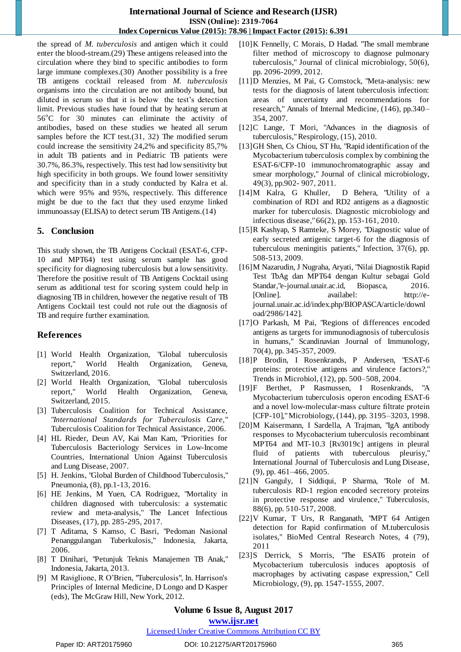#### **International Journal of Science and Research (IJSR) ISSN (Online): 2319-7064 Index Copernicus Value (2015): 78.96 | Impact Factor (2015): 6.391**

the spread of *M. tuberculosis* and antigen which it could enter the blood-stream.[\(29\)](#page-4-5) These antigens released into the circulation where they bind to specific antibodies to form large immune complexes.[\(30\)](#page-4-6) Another possibility is a free TB antigens cocktail released from *M. tuberculosis* organisms into the circulation are not antibody bound, but diluted in serum so that it is below the test's detection limit. Previous studies have found that by heating serum at  $56^{\circ}$ C for 30 minutes can eliminate the activity of antibodies, based on these studies we heated all serum samples before the ICT test.[\(31,](#page-4-7) [32\)](#page-4-8) The modified serum could increase the sensitivity 24,2% and specificity 85,7% in adult TB patients and in Pediatric TB patients were 30.7%, 86.3%, respectively. This test had low sensitivity but high specificity in both groups. We found lower sensitivity and specificity than in a study conducted by Kalra et al. which were 95% and 95%, respectively. This difference might be due to the fact that they used enzyme linked immunoassay (ELISA) to detect serum TB Antigens.[\(14\)](#page-3-16)

### **5. Conclusion**

This study shown, the TB Antigens Cocktail (ESAT-6, CFP-10 and MPT64) test using serum sample has good specificity for diagnosing tuberculosis but a low sensitivity. Therefore the positive result of TB Antigens Cocktail using serum as additional test for scoring system could help in diagnosing TB in children, however the negative result of TB Antigens Cocktail test could not rule out the diagnosis of TB and require further examination.

### **References**

- <span id="page-3-0"></span>[1] World Health Organization, "Global tuberculosis report," World Health Organization, Geneva, Switzerland, 2016.
- <span id="page-3-1"></span>[2] World Health Organization, "Global tuberculosis report," World Health Organization, Geneva, Switzerland, 2015.
- [3] Tuberculosis Coalition for Technical Assistance, "*International Standards for Tuberculosis Care,"* Tuberculosis Coalition for Technical Assistance, 2006.
- [4] HL Rieder, Deun AV, Kai Man Kam, "Priorities for Tuberculosis Bacteriology Services in Low-Income Countries, International Union Against Tuberculosis and Lung Disease, 2007.
- <span id="page-3-2"></span>[5] H. Jenkins, "Global Burden of Childhood Tuberculosis," Pneumonia, (8), pp.1-13, 2016.
- <span id="page-3-3"></span>[6] HE Jenkins, M Yuen, CA Rodriguez, "Mortality in children diagnosed with tuberculosis: a systematic review and meta-analysis," The Lancet Infectious Diseases, (17), pp. 285-295, 2017.
- <span id="page-3-4"></span>[7] T Aditama, S Kamso, C Basri, "Pedoman Nasional Penanggulangan Tuberkulosis," Indonesia, Jakarta, 2006.
- <span id="page-3-5"></span>[8] T Dinihari, "Petunjuk Teknis Manajemen TB Anak," Indonesia, Jakarta, 2013.
- <span id="page-3-6"></span>[9] M Raviglione, R O'Brien, "Tuberculosis", In. Harrison's Principles of Internal Medicine, D Longo and D Kasper (eds), The McGraw Hill, New York, 2012.
- [10]K Fennelly, C Morais, D Hadad. "The small membrane filter method of microscopy to diagnose pulmonary tuberculosis," Journal of clinical microbiology, 50(6), pp. 2096-2099, 2012.
- <span id="page-3-8"></span>[11]D Menzies, M Pai, G Comstock, "Meta-analysis: new tests for the diagnosis of latent tuberculosis infection: areas of uncertainty and recommendations for research," Annals of Internal Medicine, (146), pp.340– 354, 2007.
- <span id="page-3-10"></span><span id="page-3-9"></span>[12]C Lange, T Mori, "Advances in the diagnosis of tuberculosis," Respirology, (15), 2010.
- [13]GH Shen, Cs Chiou, ST Hu, "Rapid identification of the Mycobacterium tuberculosis complex by combining the ESAT-6/CFP-10 immunochromatographic assay and smear morphology," Journal of clinical microbiology, 49(3), pp.902- 907, 2011.
- <span id="page-3-16"></span>[14]M Kalra, G Khuller, D Behera, "Utility of a combination of RD1 and RD2 antigens as a diagnostic marker for tuberculosis. Diagnostic microbiology and infectious disease," 66(2), pp. 153-161, 2010.
- [15]R Kashyap, S Ramteke, S Morey, "Diagnostic value of early secreted antigenic target-6 for the diagnosis of tuberculous meningitis patients," Infection, 37(6), pp. 508-513, 2009.
- [16]M Nazarudin, J Nugraha, Aryati, "Nilai Diagnostik Rapid Test TbAg dan MPT64 dengan Kultur sebagai Gold Standar,"e-journal.unair.ac.id, Biopasca, 2016. [Online]. availabel: [http://e](http://e-journal.unair.ac.id/index.php/BIOPASCA/article/download/2986/142)[journal.unair.ac.id/index.php/BIOPASCA/article/downl](http://e-journal.unair.ac.id/index.php/BIOPASCA/article/download/2986/142) [oad/2986/142\]](http://e-journal.unair.ac.id/index.php/BIOPASCA/article/download/2986/142).
- <span id="page-3-11"></span>[17]O Parkash, M Pai, "Regions of differences encoded antigens as targets for immunodiagnosis of tuberculosis in humans," Scandinavian Journal of Immunology, 70(4), pp. 345-357, 2009.
- <span id="page-3-12"></span>[18]P Brodin, I Rosenkrands, P Andersen, "ESAT-6 proteins: protective antigens and virulence factors?," Trends in Microbiol, (12), pp. 500–508, 2004.
- <span id="page-3-13"></span>[19]F Berthet, P Rasmussen, I Rosenkrands, "A Mycobacterium tuberculosis operon encoding ESAT-6 and a novel low-molecular-mass culture filtrate protein [CFP-10]," Microbiology, (144), pp. 3195–3203, 1998.
- <span id="page-3-14"></span>[20]M Kaisermann, I Sardella, A Trajman, "IgA antibody responses to Mycobacterium tuberculosis recombinant MPT64 and MT-10.3 [Rv3019c] antigens in pleural fluid of patients with tuberculous pleurisy," International Journal of Tuberculosis and Lung Disease, (9), pp. 461–466, 2005.
- <span id="page-3-15"></span>[21]N Ganguly, I Siddiqui, P Sharma, "Role of M. tuberculosis RD-1 region encoded secretory proteins in protective response and virulence," Tuberculosis, 88(6), pp. 510-517, 2008.
- [22]V Kumar, T Urs, R Ranganath, "MPT 64 Antigen detection for Rapid confirmation of M.tuberculosis isolates," BioMed Central Research Notes, 4 (79), 2011
- [23]S Derrick, S Morris, "The ESAT6 protein of Mycobacterium tuberculosis induces apoptosis of macrophages by activating caspase expression," Cell Microbiology, (9), pp. 1547-1555, 2007.

# <span id="page-3-7"></span>**Volume 6 Issue 8, August 2017**

#### **www.ijsr.net**

#### Licensed Under Creative Commons Attribution CC BY